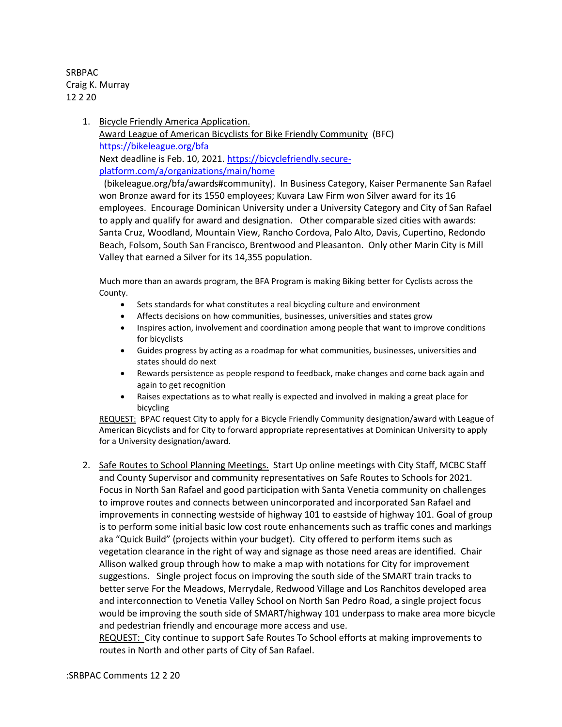SRBPAC Craig K. Murray 12 2 20

> 1. Bicycle Friendly America Application. Award League of American Bicyclists for Bike Friendly Community (BFC) <https://bikeleague.org/bfa> Next deadline is Feb. 10, 2021. [https://bicyclefriendly.secure](https://bicyclefriendly.secure-platform.com/a/organizations/main/home)[platform.com/a/organizations/main/home](https://bicyclefriendly.secure-platform.com/a/organizations/main/home)

(bikeleague.org/bfa/awards#community). In Business Category, Kaiser Permanente San Rafael won Bronze award for its 1550 employees; Kuvara Law Firm won Silver award for its 16 employees. Encourage Dominican University under a University Category and City of San Rafael to apply and qualify for award and designation. Other comparable sized cities with awards: Santa Cruz, Woodland, Mountain View, Rancho Cordova, Palo Alto, Davis, Cupertino, Redondo Beach, Folsom, South San Francisco, Brentwood and Pleasanton. Only other Marin City is Mill Valley that earned a Silver for its 14,355 population.

Much more than an awards program, the BFA Program is making Biking better for Cyclists across the County.

- Sets standards for what constitutes a real bicycling culture and environment
- Affects decisions on how communities, businesses, universities and states grow
- Inspires action, involvement and coordination among people that want to improve conditions for bicyclists
- Guides progress by acting as a roadmap for what communities, businesses, universities and states should do next
- Rewards persistence as people respond to feedback, make changes and come back again and again to get recognition
- Raises expectations as to what really is expected and involved in making a great place for bicycling

REQUEST: BPAC request City to apply for a Bicycle Friendly Community designation/award with League of American Bicyclists and for City to forward appropriate representatives at Dominican University to apply for a University designation/award.

2. Safe Routes to School Planning Meetings. Start Up online meetings with City Staff, MCBC Staff and County Supervisor and community representatives on Safe Routes to Schools for 2021. Focus in North San Rafael and good participation with Santa Venetia community on challenges to improve routes and connects between unincorporated and incorporated San Rafael and improvements in connecting westside of highway 101 to eastside of highway 101. Goal of group is to perform some initial basic low cost route enhancements such as traffic cones and markings aka "Quick Build" (projects within your budget). City offered to perform items such as vegetation clearance in the right of way and signage as those need areas are identified. Chair Allison walked group through how to make a map with notations for City for improvement suggestions. Single project focus on improving the south side of the SMART train tracks to better serve For the Meadows, Merrydale, Redwood Village and Los Ranchitos developed area and interconnection to Venetia Valley School on North San Pedro Road, a single project focus would be improving the south side of SMART/highway 101 underpass to make area more bicycle and pedestrian friendly and encourage more access and use.

REQUEST: City continue to support Safe Routes To School efforts at making improvements to routes in North and other parts of City of San Rafael.